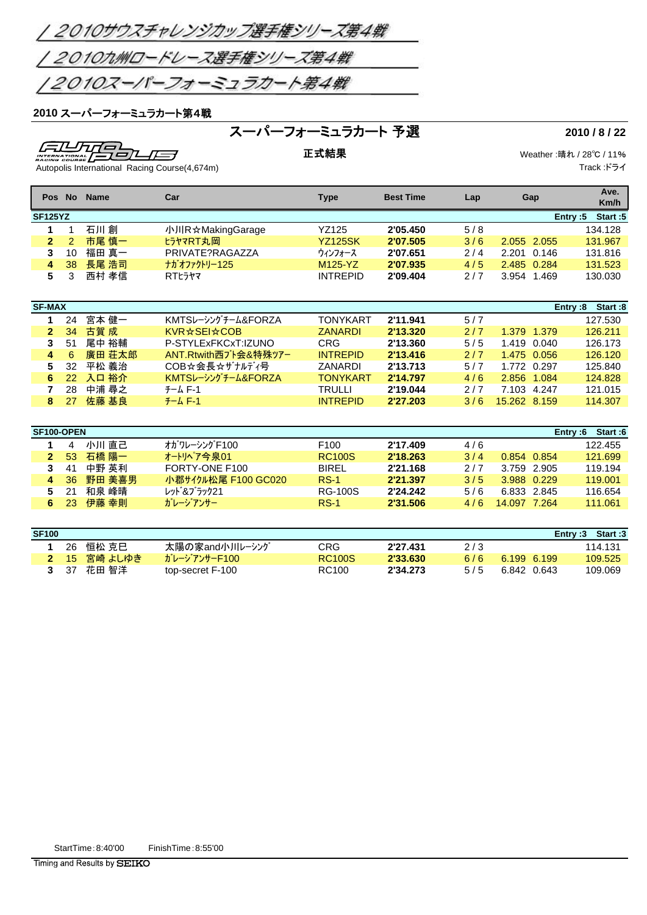

### スーパーフォーミュラカート第4戦

# スーパーフォーミュラカート 予選 **2010 / 8 / 22**

 $\sqrt{11/10}$ <br>  $\sqrt{11/10}$ <br>
Autopolis International Racing Course(4,674m) -753

正式結果 Weather :晴れ / 28℃ / 11% Track :ドライ

|   | Pos No               | <b>Name</b> | Car                  | <b>Type</b>     | <b>Best Time</b> | Lap | Gap            | Ave.                  |  |  |  |  |
|---|----------------------|-------------|----------------------|-----------------|------------------|-----|----------------|-----------------------|--|--|--|--|
|   |                      |             |                      |                 |                  |     |                | Km/h                  |  |  |  |  |
|   | <b>SF125YZ</b>       |             |                      |                 |                  |     |                | Start:5<br>Entry: $5$ |  |  |  |  |
| 1 |                      | 石川創         | 小川R☆MakingGarage     | <b>YZ125</b>    | 2'05.450         | 5/8 |                | 134.128               |  |  |  |  |
|   | $\overline{2}$<br>2  | 市尾 慎一       | ヒラヤマRT丸岡             | <b>YZ125SK</b>  | 2'07.505         | 3/6 | 2.055 2.055    | 131.967               |  |  |  |  |
|   | 3<br>10              | 福田 真一       | PRIVATE?RAGAZZA      | ウィンフォース         | 2'07.651         | 2/4 | 2.201<br>0.146 | 131.816               |  |  |  |  |
|   | 38<br>4              | 長尾 浩司       | ナガオファクトリー125         | M125-YZ         | 2'07.935         | 4/5 | 2.485 0.284    | 131.523               |  |  |  |  |
|   | 5<br>3               | 西村 孝信       | <b>RTL5ヤマ</b>        | <b>INTREPID</b> | 2'09.404         | 2/7 | 3.954<br>1.469 | 130.030               |  |  |  |  |
|   |                      |             |                      |                 |                  |     |                |                       |  |  |  |  |
|   |                      |             | <b>SF-MAX</b>        |                 |                  |     |                |                       |  |  |  |  |
|   |                      |             |                      |                 |                  |     |                |                       |  |  |  |  |
|   |                      |             |                      |                 |                  |     |                | Start:8<br>Entry:8    |  |  |  |  |
| 1 | 24                   | 宮本 健一       | KMTSレーシングチーム&FORZA   | <b>TONYKART</b> | 2'11.941         | 5/7 |                | 127.530               |  |  |  |  |
|   | 34<br>$\overline{2}$ | 古賀 成        | KVR☆SEI☆COB          | <b>ZANARDI</b>  | 2'13.320         | 2/7 | 1.379<br>1.379 | 126.211               |  |  |  |  |
|   | 3<br>51              | 尾中 裕輔       | P-STYLExFKCxT:IZUNO  | <b>CRG</b>      | 2'13.360         | 5/5 | 1.419<br>0.040 | 126.173               |  |  |  |  |
|   | 6<br>4               | 廣田 荘太郎      | ANT.Rtwith西ブト会&特殊ツアー | <b>INTREPID</b> | 2'13.416         | 2/7 | 1.475 0.056    | 126.120               |  |  |  |  |
|   | 5<br>32              | 平松 義治       | COB☆会長☆ザナルディ号        | <b>ZANARDI</b>  | 2'13.713         | 5/7 | 1.772 0.297    | 125.840               |  |  |  |  |
| 6 | 22                   | 入口 裕介       | KMTSレーシングチーム&FORZA   | <b>TONYKART</b> | 2'14.797         | 4/6 | 2.856<br>1.084 | 124.828               |  |  |  |  |
|   | 7<br>28              | 中浦 尋之       | $7 - L F - 1$        | <b>TRULLI</b>   | 2'19.044         | 2/7 | 7.103<br>4.247 | 121.015               |  |  |  |  |

|                | SF100-OPEN |        |                     |                  |          |     |              | Start:6<br>Entrv:6 |
|----------------|------------|--------|---------------------|------------------|----------|-----|--------------|--------------------|
|                |            | 小川 直己  | オガワレーシング F100       | F <sub>100</sub> | 2'17.409 | 4/6 |              | 122.455            |
| 2.             | 53         | 石橋 陽一  | オートリペア今泉01          | <b>RC100S</b>    | 2'18.263 | 3/4 | 0.854 0.854  | 121.699            |
| 3              | 41         | 中野 英利  | FORTY-ONE F100      | <b>BIREL</b>     | 2'21.168 | 2/7 | 3.759 2.905  | 119.194            |
| $\overline{4}$ | -36        | 野田 美喜男 | 小郡サイクル松尾 F100 GC020 | $RS-1$           | 2'21.397 | 3/5 | 3.988 0.229  | 119.001            |
| 5.             | -21        | 和泉 峰晴  | レット゛&ブラック21         | <b>RG-100S</b>   | 2'24.242 | 5/6 | 6.833 2.845  | 116.654            |
|                | 23         | 伊藤 幸則  | ガレージアンサー            | $RS-1$           | 2'31.506 | 4/6 | 14.097 7.264 | 111.061            |
|                |            |        |                     |                  |          |     |              |                    |

| <b>SF100</b> |     |                |                  |               |          |     | Entry:3     | Start:3 |
|--------------|-----|----------------|------------------|---------------|----------|-----|-------------|---------|
|              | 26  | 恒松 克巳          | 太陽の家and小川レーシング   | CRG.          | 2'27.431 | 2/3 |             | 114.131 |
|              |     | - 15 - 宮崎 よしゆき | ガレージアンサーF100     | <b>RC100S</b> | 2'33.630 | 6/6 | 6.199 6.199 | 109.525 |
|              | -37 | 花田 智洋          | top-secret F-100 | RC100         | 2'34.273 | 5/5 | 6.842 0.643 | 109.069 |